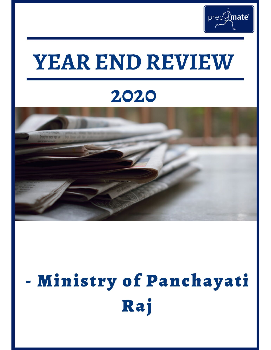

# YEAR END REVIEW

### 2020



# - Ministry of Panchayati Raj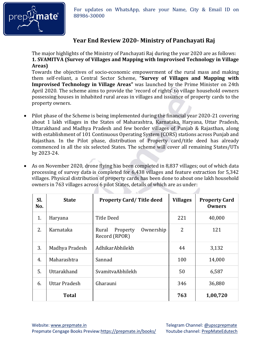

For updates on WhatsApp, share your Name, City & Email ID on **and C**<sup>8</sup> 88986-30000 88986-30000

#### **Year End Review 2020- Ministry of Panchayati Raj**

The major highlights of the Ministry of Panchayati Raj during the year 2020 are as follows: **1. SVAMITVA (Survey of Villages and Mapping with Improvised Technology in Village Areas)** 

Towards the objectives of socio-economic empowerment of the rural mass and making them self-reliant, a Central Sector Scheme, **"Survey of Villages and Mapping with Improvised Technology in Village Areas"** was launched by the Prime Minister on 24th April 2020. The scheme aims to provide the 'record of rights' to village household owners possessing houses in inhabited rural areas in villages and issuance of property cards to the property owners.

- Pilot phase of the Scheme is being implemented during the financial year 2020-21 covering about 1 lakh villages in the States of Maharashtra, Karnataka, Haryana, Uttar Pradesh, Uttarakhand and Madhya Pradesh and few border villages of Punjab & Rajasthan, along with establishment of 101 Continuous Operating System (CORS) stations across Punjab and Rajasthan. In the Pilot phase, distribution of Property card/title deed has already commenced in all the six selected States. The scheme will cover all remaining States/UTs by 2023-24.
- As on November 2020, drone flying has been completed in 8,837 villages; out of which data processing of survey data is completed for 6,438 villages and feature extraction for 5,342 villages. Physical distribution of property cards has been done to about one lakh household owners in 763 villages across 6 pilot States, details of which are as under:

| SI.<br>No. | <b>State</b>   | <b>Property Card/Title deed</b>                 | <b>Villages</b> | <b>Property Card</b><br><b>Owners</b> |
|------------|----------------|-------------------------------------------------|-----------------|---------------------------------------|
| 1.         | Haryana        | Title Deed                                      | 221             | 40,000                                |
| 2.         | Karnataka      | Ownership<br>Rural<br>Property<br>Record (RPOR) | 2               | 121                                   |
| 3.         | Madhya Pradesh | AdhikarAbhilekh                                 | 44              | 3,132                                 |
| 4.         | Maharashtra    | Sannad                                          | 100             | 14,000                                |
| 5.         | Uttarakhand    | SvamitvaAbhilekh                                | 50              | 6,587                                 |
| 6.         | Uttar Pradesh  | Gharauni                                        | 346             | 36,880                                |
|            | <b>Total</b>   |                                                 | 763             | 1,00,720                              |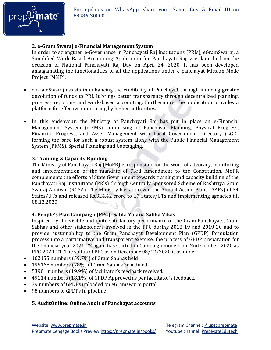

#### **2. e-Gram Swaraj e-Financial Management System**

In order to strengthen e-Governance in Panchayati Raj Institutions (PRIs), eGramSwaraj, a Simplified Work Based Accounting Application for Panchayati Raj, was launched on the occasion of National Panchayati Raj Day on April 24, 2020. It has been developed amalgamating the functionalities of all the applications under e-panchayat Mission Mode Project (MMP).

- e-GramSwaraj assists in enhancing the credibility of Panchayat through inducing greater devolution of funds to PRI. It brings better transparency through decentralized planning, progress reporting and work-based accounting. Furthermore, the application provides a platform for effective monitoring by higher authorities.
- In this endeavour, the Ministry of Panchayati Raj has put in place an e-Financial Management System (e-FMS) comprising of Panchayat Planning, Physical Progress, Financial Progress, and Asset Management with Local Government Directory (LGD) forming the base for such a robust system along with the Public Financial Management System (PFMS), Special Planning and Geotagging.

#### **3. Training & Capacity Building**

The Ministry of Panchayati Raj (MoPR) is responsible for the work of advocacy, monitoring and implementation of the mandate of 73rd Amendment to the Constitution. MoPR complements the efforts of State Government towards training and capacity building of the Panchayati Raj Institutions (PRls) through Centrally Sponsored Scheme of Rashtriya Gram Swaraj Ahhiyan (RGSA). The Ministry has approved the Annual Action Plans (AAPs) of 34 States/UTs and released Rs.324.42 crore to 17 States/UTs and implementing agencies till 08.12.2020.

#### **4. People's Plan Campaign (PPC)- Sabki Yojana Sabka Vikas**

Inspired by the visible and quite satisfactory performance of the Gram Panchayats, Gram Sabhas and other stakeholders involved in the PPC during 2018-19 and 2019-20 and to provide sustainability to the Gram Panchayat Development Plan (GPDP) formulation process into a participative and transparent exercise, the process of GPDP preparation for the financial year 2021-22 again has started in Campaign mode from 2nd October, 2020 as PPC-2020-21. The status of PPC as on December 08/12/2020 is as under:

- 162155 numbers (59.7%) of Gram Sabhas held
- 195168 numbers (78%) of Gram Sabhas Scheduled
- 53901 numbers (19.9%) of facilitator's feedback received.
- 49114 numbers (18.1%) of GPDP Approved as per facilitator's feedback.
- 39 numbers of GPDPs uploaded on eGramswaraj portal
- 98 numbers of GPDPs in pipeline

#### **5. AuditOnline: Online Audit of Panchayat accounts**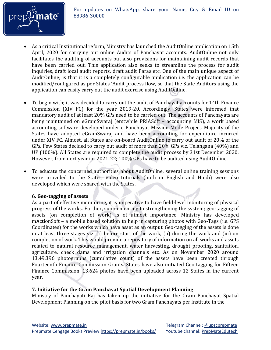

- As a critical Institutional reform, Ministry has launched the AuditOnline application on 15th April, 2020 for carrying out online Audits of Panchayat accounts. AuditOnline not only facilitates the auditing of accounts but also provisions for maintaining audit records that have been carried out. This application also seeks to streamline the process for audit inquiries, draft local audit reports, draft audit Paras etc. One of the main unique aspect of AuditOnline; is that it is a completely configurable application i.e. the application can be modified/configured as per States 'Audit process flow, so that the State Auditors using the application can easily carry out the audit exercise using AuditOnline.
- To begin with; it was decided to carry out the audit of Panchayat accounts for 14th Finance Commission (XIV FC) for the year 2019-20. Accordingly, States were informed that mandatory audit of at least 20% GPs need to be carried out. The accounts of Panchayats are being maintained on eGramSwaraj (erstwhile PRIASoft – accounting MIS), a work based accounting software developed under e-Panchayat Mission Mode Project. Majority of the States have adopted eGramSwaraj and have been accounting for expenditure incurred under XIV FC. Almost, all States are on-board AuditOnline to carry out audit of 20% of the GPs. Few States decided to carry out audit of more than 20% GPs viz. Telangana (40%) and UP (100%). All States are required to complete the audit process by 31st December 2020. However, from next year i.e. 2021-22; 100% GPs have to be audited using AuditOnline.
- To educate the concerned authorities about AuditOnline, several online training sessions were provided to the States, video tutorials (both in English and Hindi) were also developed which were shared with the States.

#### **6. Geo-tagging of assets**

As a part of effective monitoring, it is imperative to have field-level monitoring of physical progress of the works. Further, supplementing to strengthening the system; geo-tagging of assets (on completion of work) is of utmost importance. Ministry has developed mActionSoft – a mobile based solution to help in capturing photos with Geo-Tags (i.e. GPS Coordinates) for the works which have asset as an output. Geo-tagging of the assets is done in at least three stages viz. (i) before start of the work, (ii) during the work and (iii) on completion of work. This would provide a repository of information on all works and assets related to natural resource management, water harvesting, drought proofing, sanitation, agriculture, check dams and irrigation channels etc. As on November 2020 around 13,49,396 photographs (cumulative count) of the assets have been created through Fourteenth Finance Commission Grants. States have also initiated Geo tagging for Fifteen Finance Commission, 13,624 photos have been uploaded across 12 States in the current year.

#### **7. Initiative for the Gram Panchayat Spatial Development Planning**

Ministry of Panchayati Raj has taken up the initiative for the Gram Panchayat Spatial Development Planning on the pilot basis for two Gram Panchayats per institute in the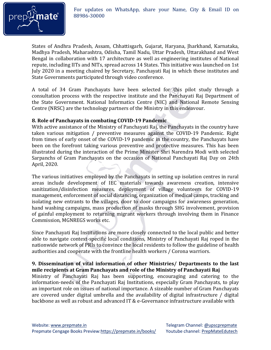

States of Andhra Pradesh, Assam, Chhattisgarh, Gujarat, Haryana, Jharkhand, Karnataka, Madhya Pradesh, Maharashtra, Odisha, Tamil Nadu, Uttar Pradesh, Uttarakhand and West Bengal in collaboration with 17 architecture as well as engineering institutes of National repute, including IITs and NITs, spread across 14 States. This initiative was launched on 1st July 2020 in a meeting chaired by Secretary, Panchayati Raj in which these institutes and State Governments participated through video conference.

A total of 34 Gram Panchayats have been selected for this pilot study through a consultation process with the respective institute and the Panchayati Raj Department of the State Government. National Informatics Centre (NIC) and National Remote Sensing Centre (NRSC) are the technology partners of the Ministry in this endeavour.

#### **8. Role of Panchayats in combating COVID-19 Pandemic**

With active assistance of the Ministry of Panchayati Raj, the Panchayats in the country have taken various mitigation / preventive measures against the COVID-19 Pandemic. Right from times of early onset of the COVID-19 pandemic in the country, the Panchayats have been on the forefront taking various preventive and protective measures. This has been illustrated during the interaction of the Prime Minister Shri Narendra Modi with selected Sarpanchs of Gram Panchayats on the occasion of National Panchayati Raj Day on 24th April, 2020.

The various initiatives employed by the Panchayats in setting up isolation centres in rural areas include development of IEC materials towards awareness creation, intensive sanitization/disinfection measures, deployment of village volunteers for COVID-19 management, enforcement of social distancing, organization of medical camps, tracking and isolating new entrants to the villages, door to door campaigns for awareness generation, hand washing campaigns, mass production of masks through SHG involvement, provision of gainful employment to returning migrant workers through involving them in Finance Commission, MGNREGS works etc.

Since Panchayati Raj Institutions are more closely connected to the local public and better able to navigate context-specific local conditions, Ministry of Panchayati Raj roped in the nationwide network of PRIs to convince the local residents to follow the guideline of health authorities and cooperate with the frontline health workers / Corona warriors.

#### **9. Dissemination of vital information of other Ministries/ Departments to the last mile recipients at Gram Panchayats and role of the Ministry of Panchayati Raj**

Ministry of Panchayati Raj has been supporting, encouraging and catering to the information-needs of the Panchayati Raj Institutions, especially Gram Panchayats, to play an important role on issues of national importance. A sizeable number of Gram Panchayats are covered under digital umbrella and the availability of digital infrastructure / digital backbone as well as robust and advanced IT & e-Governance infrastructure available with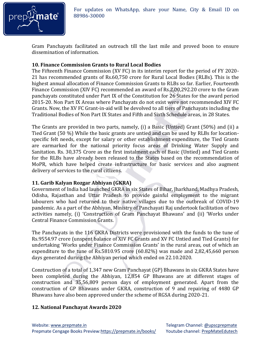

For updates on WhatsApp, share your Name, City & Email ID on **nate** 88986-30000 88986-30000

Gram Panchayats facilitated an outreach till the last mile and proved boon to ensure dissemination of information.

#### **10. Finance Commission Grants to Rural Local Bodies**

The Fifteenth Finance Commission (XV FC) in its interim report for the period of FY 2020- 21 has recommended grants of Rs.60,750 crore for Rural Local Bodies (RLBs). This is the highest annual allocation of Finance Commission Grants to RLBs so far. Earlier, Fourteenth Finance Commission (XIV FC) recommended an award of Rs.2,00,292.20 crore to the Gram panchayats constituted under Part IX of the Constitution for 26 States for the award period 2015-20. Non Part IX Areas where Panchayats do not exist were not recommended XIV FC Grants. Now, the XV FC Grant-in-aid will be devolved to all tiers of Panchayats including the Traditional Bodies of Non Part IX States and Fifth and Sixth Schedule areas, in 28 States.

The Grants are provided in two parts, namely, (i) a Basic (Untied) Grant (50%) and (ii) a Tied Grant (50 %) While the basic grants are untied and can be used by RLBs for locationspecific felt needs, except for salary or other establishment expenditure, the Tied Grants are earmarked for the national priority focus areas of Drinking Water Supply and Sanitation. Rs. 30,375 Crore as the first instalment each of Basic (Untied) and Tied Grants for the RLBs have already been released to the States based on the recommendation of MoPR, which have helped create infrastructure for basic services and also augment delivery of services to the rural citizens.

#### **11. Garib Kalyan Rozgar Abhiyan (GKRA)**

Government of India had launched GKRA in six States of Bihar, Jharkhand, Madhya Pradesh, Odisha, Rajasthan and Uttar Pradesh to provide gainful employment to the migrant labourers who had returned to their native villages due to the outbreak of COVID-19 pandemic. As a part of the Abhiyan, Ministry of Panchayati Raj undertook facilitation of two activities namely, (i) 'Construction of Gram Panchayat Bhawans' and (ii) 'Works under Central Finance Commission Grants.

The Panchayats in the 116 GKRA Districts were provisioned with the funds to the tune of Rs.9554.97 crore (unspent balance of XIV FC Grants and XV FC Untied and Tied Grants) for undertaking 'Works under Finance Commission Grants' in the rural areas, out of which an expenditure to the tune of Rs.5810.95 crore (60.82%) was made and 2,82,45,660 person days generated during the Abhiyan period which ended on 22.10.2020.

Construction of a total of 1,347 new Gram Panchayat (GP) Bhawans in six GKRA States have been completed during the Abhiyan, 12,854 GP Bhawans are at different stages of construction and 35,56,809 person days of employment generated. Apart from the construction of GP Bhawans under GKRA, construction of 9 and repairing of 4480 GP Bhawans have also been approved under the scheme of RGSA during 2020-21.

#### **12. National Panchayat Awards 2020**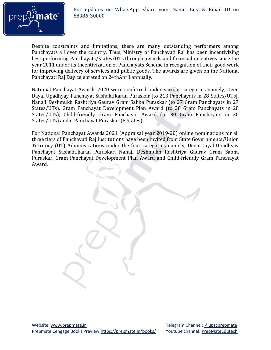

For updates on WhatsApp, share your Name, City & Email ID on **and C**<sup>8</sup> 88986-30000 88986-30000

Despite constraints and limitations, there are many outstanding performers among Panchayats all over the country. Thus, Ministry of Panchayati Raj has been incentivizing best performing Panchayats/States/UTs through awards and financial incentives since the year 2011 under its Incentivization of Panchayats Scheme in recognition of their good work for improving delivery of services and public goods. The awards are given on the National Panchayati Raj Day celebrated on 24thApril annually.

National Panchayat Awards 2020 were conferred under various categories namely, Deen Dayal Upadhyay Panchayat Sashaktikaran Puraskar [to 213 Panchayats in 28 States/UTs], Nanaji Deshmukh Rashtriya Gaurav Gram Sabha Puraskar (to 27 Gram Panchayats in 27 States/UTs), Gram Panchayat Development Plan Award (to 28 Gram Panchayats in 28 States/UTs), Child-friendly Gram Panchayat Award (to 30 Gram Panchayats in 30 States/UTs) and e-Panchayat Puraskar (8 States).

For National Panchayat Awards 2021 (Appraisal year 2019-20) online nominations for all three tiers of Panchayati Raj Institutions have been invited from State Governments/Union Territory (UT) Administrations under the four categories namely, Deen Dayal Upadhyay Panchayat Sashaktikaran Puraskar, Nanaji Deshmukh Rashtriya Gaurav Gram Sabha Puraskar, Gram Panchayat Development Plan Award and Child-friendly Gram Panchayat Award.

Website[: www.prepmate.in](http://www.prepmate.in/) Telegram Channel: @upscprepmate